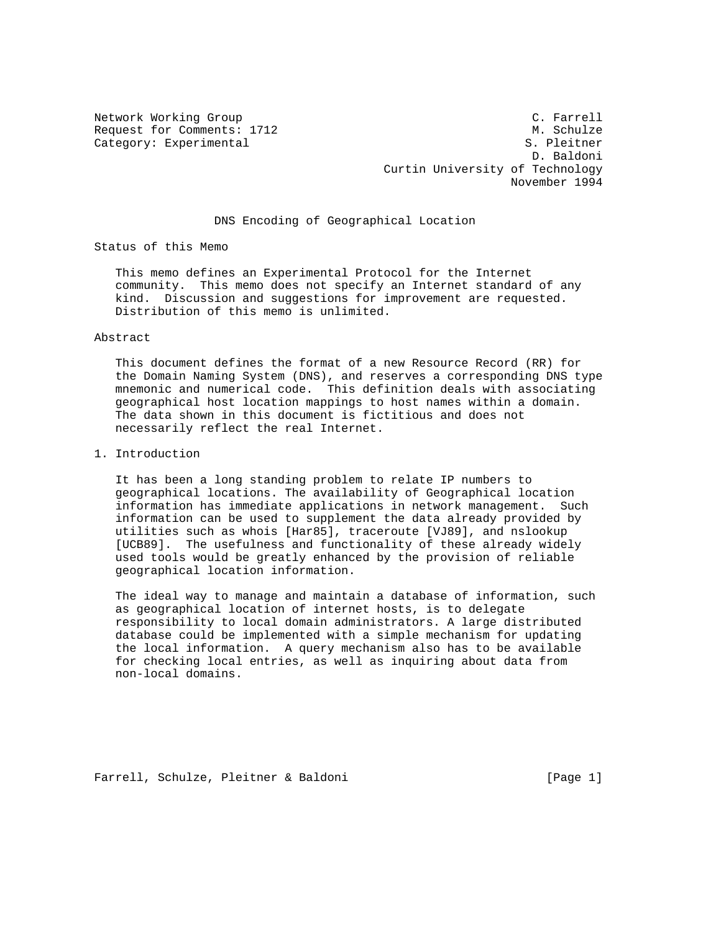Category: Experimental

Network Working Group C. Farrell Request for Comments: 1712<br>
Category: Experimental<br>
Category: Experimental D. Baldoni Curtin University of Technology November 1994

## DNS Encoding of Geographical Location

Status of this Memo

 This memo defines an Experimental Protocol for the Internet community. This memo does not specify an Internet standard of any kind. Discussion and suggestions for improvement are requested. Distribution of this memo is unlimited.

#### Abstract

 This document defines the format of a new Resource Record (RR) for the Domain Naming System (DNS), and reserves a corresponding DNS type mnemonic and numerical code. This definition deals with associating geographical host location mappings to host names within a domain. The data shown in this document is fictitious and does not necessarily reflect the real Internet.

1. Introduction

 It has been a long standing problem to relate IP numbers to geographical locations. The availability of Geographical location information has immediate applications in network management. Such information can be used to supplement the data already provided by utilities such as whois [Har85], traceroute [VJ89], and nslookup [UCB89]. The usefulness and functionality of these already widely used tools would be greatly enhanced by the provision of reliable geographical location information.

 The ideal way to manage and maintain a database of information, such as geographical location of internet hosts, is to delegate responsibility to local domain administrators. A large distributed database could be implemented with a simple mechanism for updating the local information. A query mechanism also has to be available for checking local entries, as well as inquiring about data from non-local domains.

Farrell, Schulze, Pleitner & Baldoni [Page 1]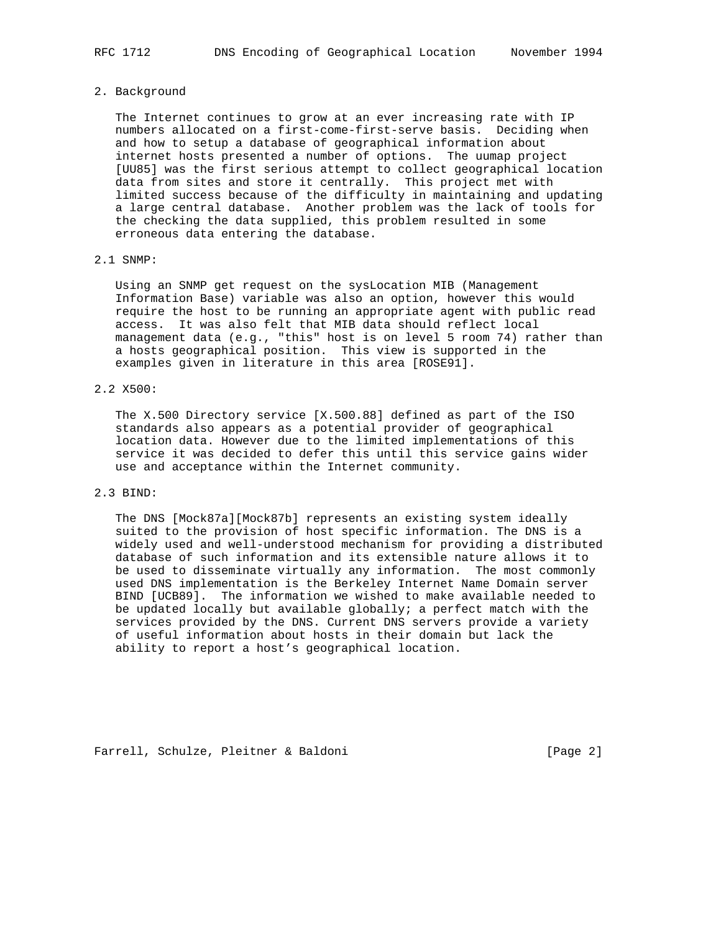### 2. Background

 The Internet continues to grow at an ever increasing rate with IP numbers allocated on a first-come-first-serve basis. Deciding when and how to setup a database of geographical information about internet hosts presented a number of options. The uumap project [UU85] was the first serious attempt to collect geographical location data from sites and store it centrally. This project met with limited success because of the difficulty in maintaining and updating a large central database. Another problem was the lack of tools for the checking the data supplied, this problem resulted in some erroneous data entering the database.

## 2.1 SNMP:

 Using an SNMP get request on the sysLocation MIB (Management Information Base) variable was also an option, however this would require the host to be running an appropriate agent with public read access. It was also felt that MIB data should reflect local management data (e.g., "this" host is on level 5 room 74) rather than a hosts geographical position. This view is supported in the examples given in literature in this area [ROSE91].

# 2.2 X500:

 The X.500 Directory service [X.500.88] defined as part of the ISO standards also appears as a potential provider of geographical location data. However due to the limited implementations of this service it was decided to defer this until this service gains wider use and acceptance within the Internet community.

## 2.3 BIND:

 The DNS [Mock87a][Mock87b] represents an existing system ideally suited to the provision of host specific information. The DNS is a widely used and well-understood mechanism for providing a distributed database of such information and its extensible nature allows it to be used to disseminate virtually any information. The most commonly used DNS implementation is the Berkeley Internet Name Domain server BIND [UCB89]. The information we wished to make available needed to be updated locally but available globally; a perfect match with the services provided by the DNS. Current DNS servers provide a variety of useful information about hosts in their domain but lack the ability to report a host's geographical location.

Farrell, Schulze, Pleitner & Baldoni [Page 2]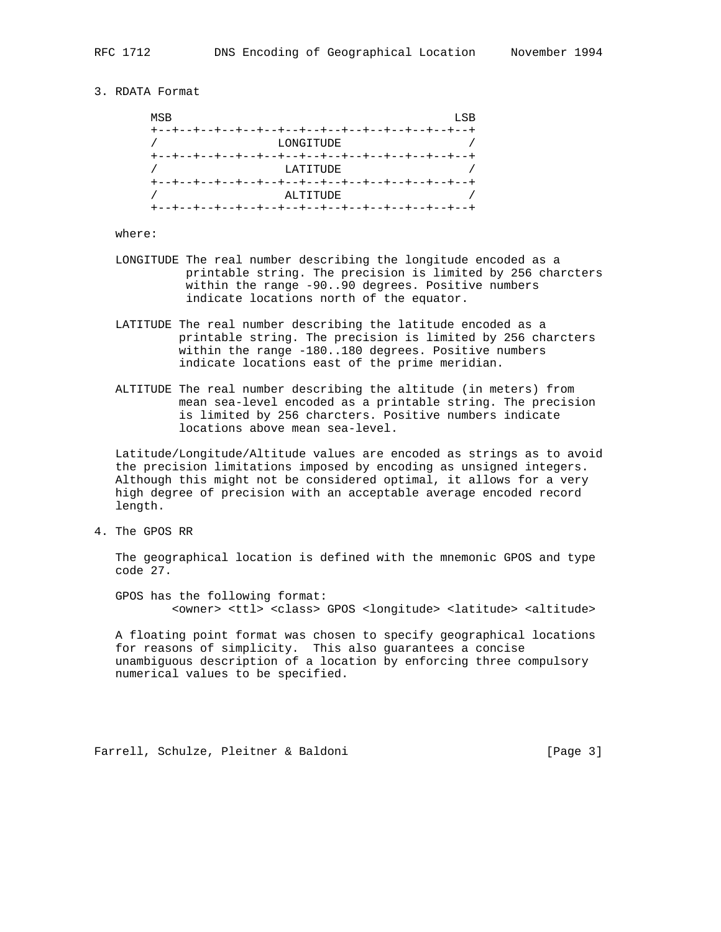## 3. RDATA Format

| MSB                                    | LSB |
|----------------------------------------|-----|
|                                        |     |
| LONGITUDE                              |     |
|                                        |     |
| LATITUDE                               |     |
|                                        |     |
| ALTITUDE                               |     |
| --+--+--+--+--+--+--+--+--+--+--+--+-- |     |

## where:

- LONGITUDE The real number describing the longitude encoded as a printable string. The precision is limited by 256 charcters within the range -90..90 degrees. Positive numbers indicate locations north of the equator.
- LATITUDE The real number describing the latitude encoded as a printable string. The precision is limited by 256 charcters within the range -180..180 degrees. Positive numbers indicate locations east of the prime meridian.
- ALTITUDE The real number describing the altitude (in meters) from mean sea-level encoded as a printable string. The precision is limited by 256 charcters. Positive numbers indicate locations above mean sea-level.

 Latitude/Longitude/Altitude values are encoded as strings as to avoid the precision limitations imposed by encoding as unsigned integers. Although this might not be considered optimal, it allows for a very high degree of precision with an acceptable average encoded record length.

4. The GPOS RR

 The geographical location is defined with the mnemonic GPOS and type code 27.

 GPOS has the following format: <owner> <ttl> <class> GPOS <longitude> <latitude> <altitude>

 A floating point format was chosen to specify geographical locations for reasons of simplicity. This also guarantees a concise unambiguous description of a location by enforcing three compulsory numerical values to be specified.

Farrell, Schulze, Pleitner & Baldoni [Page 3]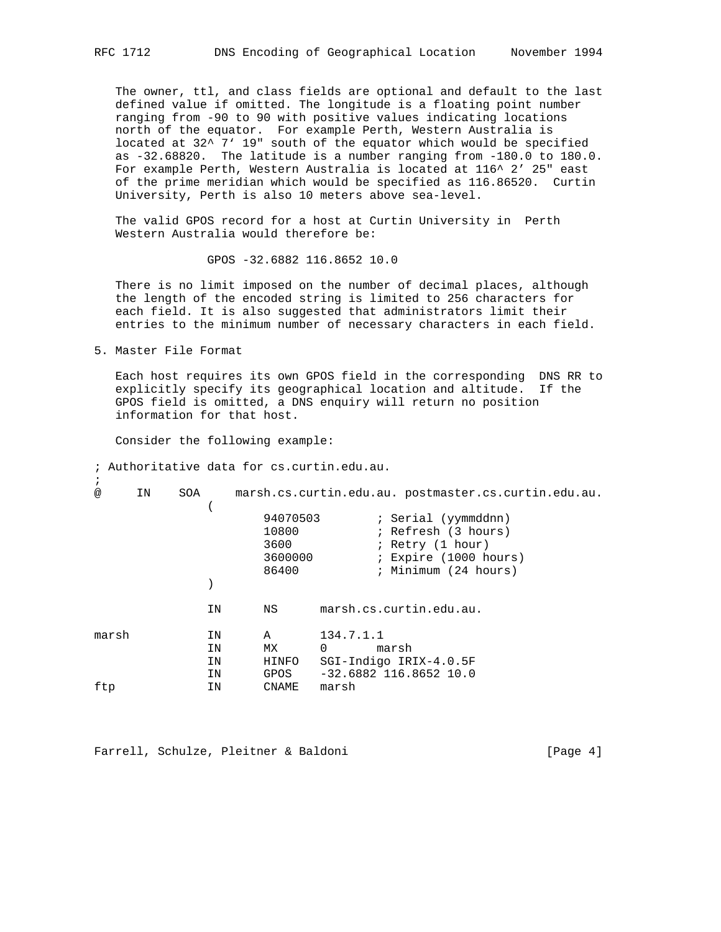The owner, ttl, and class fields are optional and default to the last defined value if omitted. The longitude is a floating point number ranging from -90 to 90 with positive values indicating locations north of the equator. For example Perth, Western Australia is located at 32^ 7' 19" south of the equator which would be specified as -32.68820. The latitude is a number ranging from -180.0 to 180.0. For example Perth, Western Australia is located at 116^ 2' 25" east of the prime meridian which would be specified as 116.86520. Curtin University, Perth is also 10 meters above sea-level.

 The valid GPOS record for a host at Curtin University in Perth Western Australia would therefore be:

GPOS -32.6882 116.8652 10.0

 There is no limit imposed on the number of decimal places, although the length of the encoded string is limited to 256 characters for each field. It is also suggested that administrators limit their entries to the minimum number of necessary characters in each field.

5. Master File Format

;

 Each host requires its own GPOS field in the corresponding DNS RR to explicitly specify its geographical location and altitude. If the GPOS field is omitted, a DNS enquiry will return no position information for that host.

Consider the following example:

; Authoritative data for cs.curtin.edu.au.

@ IN SOA marsh.cs.curtin.edu.au. postmaster.cs.curtin.edu.au.  $\overline{\phantom{a}}$  94070503 ; Serial (yymmddnn) ; Refresh (3 hours) 3600 ; Retry (1 hour)<br>3600000 ; Expire (1000 ho 3600000 ; Expire (1000 hours) 86400 **;** Minimum (24 hours) ) IN NS marsh.cs.curtin.edu.au. marsh IN A 134.7.1.1 IN MX 0 marsh IN HINFO SGI-Indigo IRIX-4.0.5F IN GPOS -32.6882 116.8652 10.0 ftp IN CNAME marsh

Farrell, Schulze, Pleitner & Baldoni [Page 4]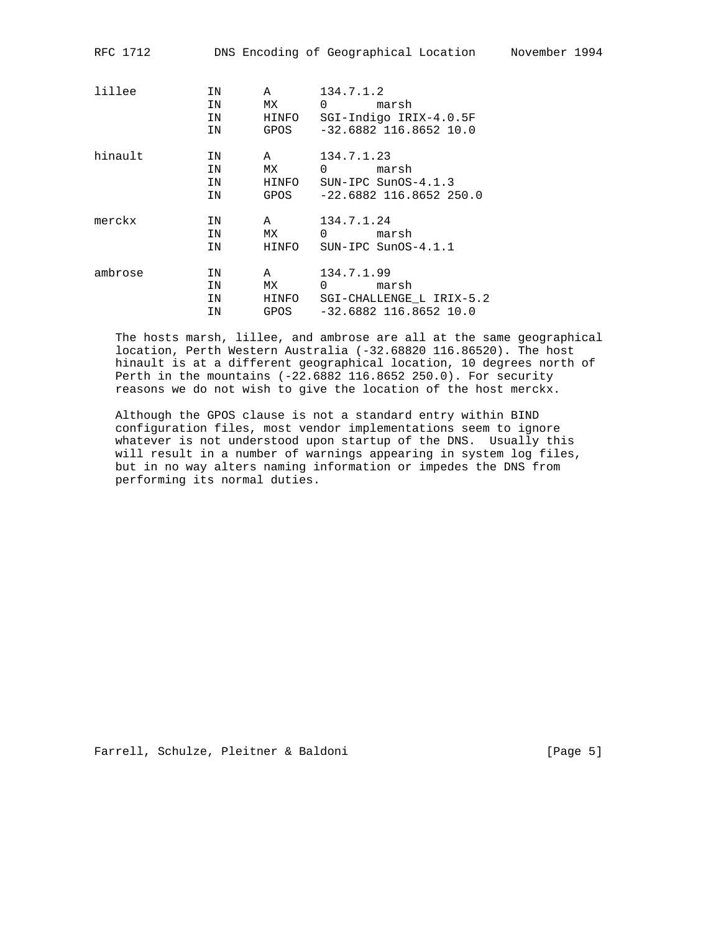| RFC 1712 |                      |                            |                                                       | DNS Encoding of Geographical Location Movember 1994            |  |
|----------|----------------------|----------------------------|-------------------------------------------------------|----------------------------------------------------------------|--|
| lillee   | IN<br>IN<br>IN       | $\mathsf{A}$               | 134.7.1.2<br>MX 0 marsh                               | IN HINFO SGI-Indigo IRIX-4.0.5F<br>GPOS -32.6882 116.8652 10.0 |  |
| hinault  | IN<br>IN<br>IN<br>IN | $\mathbf{A}$               | 134.7.1.23<br>MX 0 marsh<br>HINFO SUN-IPC SunOS-4.1.3 | GPOS -22.6882 116.8652 250.0                                   |  |
| merckx   | ΙN<br>IN<br>IN       | MX                         | A 134.7.1.24<br>0 marsh<br>HINFO SUN-IPC SunOS-4.1.1  |                                                                |  |
| ambrose  | ΙN<br>IN<br>IN<br>ΙN | $\mathbf{A}$<br>MX<br>GPOS | 134.7.1.99<br>0 marsh                                 | HINFO SGI-CHALLENGE L IRIX-5.2<br>$-32.6882$ 116.8652 10.0     |  |

 The hosts marsh, lillee, and ambrose are all at the same geographical location, Perth Western Australia (-32.68820 116.86520). The host hinault is at a different geographical location, 10 degrees north of Perth in the mountains (-22.6882 116.8652 250.0). For security reasons we do not wish to give the location of the host merckx.

 Although the GPOS clause is not a standard entry within BIND configuration files, most vendor implementations seem to ignore whatever is not understood upon startup of the DNS. Usually this will result in a number of warnings appearing in system log files, but in no way alters naming information or impedes the DNS from performing its normal duties.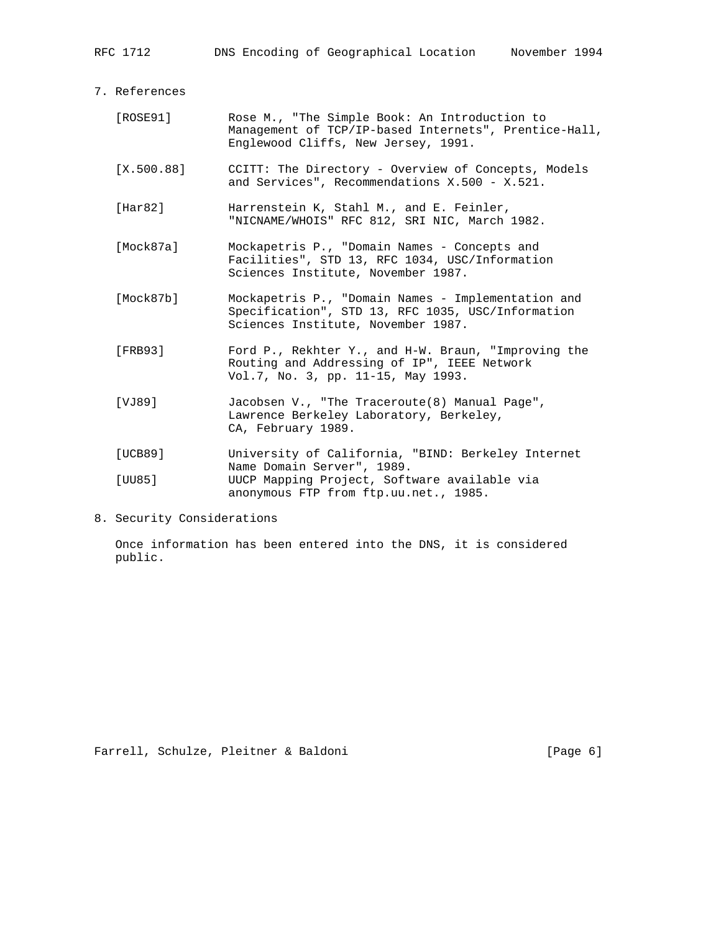7. References

| [ROSE91]   | Rose M., "The Simple Book: An Introduction to<br>Management of TCP/IP-based Internets", Prentice-Hall,<br>Englewood Cliffs, New Jersey, 1991. |
|------------|-----------------------------------------------------------------------------------------------------------------------------------------------|
| [X.500.88] | CCITT: The Directory - Overview of Concepts, Models<br>and Services", Recommendations X.500 - X.521.                                          |
| [Har82]    | Harrenstein K, Stahl M., and E. Feinler,<br>"NICNAME/WHOIS" RFC 812, SRI NIC, March 1982.                                                     |
| [Mock87a]  | Mockapetris P., "Domain Names - Concepts and<br>Facilities", STD 13, RFC 1034, USC/Information<br>Sciences Institute, November 1987.          |
| [Mock87b]  | Mockapetris P., "Domain Names - Implementation and<br>Specification", STD 13, RFC 1035, USC/Information<br>Sciences Institute, November 1987. |
| [FRB93]    | Ford P., Rekhter Y., and H-W. Braun, "Improving the<br>Routing and Addressing of IP", IEEE Network<br>Vol.7, No. 3, pp. 11-15, May 1993.      |
| [VJ89]     | Jacobsen V., "The Traceroute(8) Manual Page",<br>Lawrence Berkeley Laboratory, Berkeley,<br>CA, February 1989.                                |
| [UCB89]    | University of California, "BIND: Berkeley Internet                                                                                            |
| [UU85]     | Name Domain Server", 1989.<br>UUCP Mapping Project, Software available via<br>anonymous FTP from ftp.uu.net., 1985.                           |

8. Security Considerations

 Once information has been entered into the DNS, it is considered public.

Farrell, Schulze, Pleitner & Baldoni (Page 6)